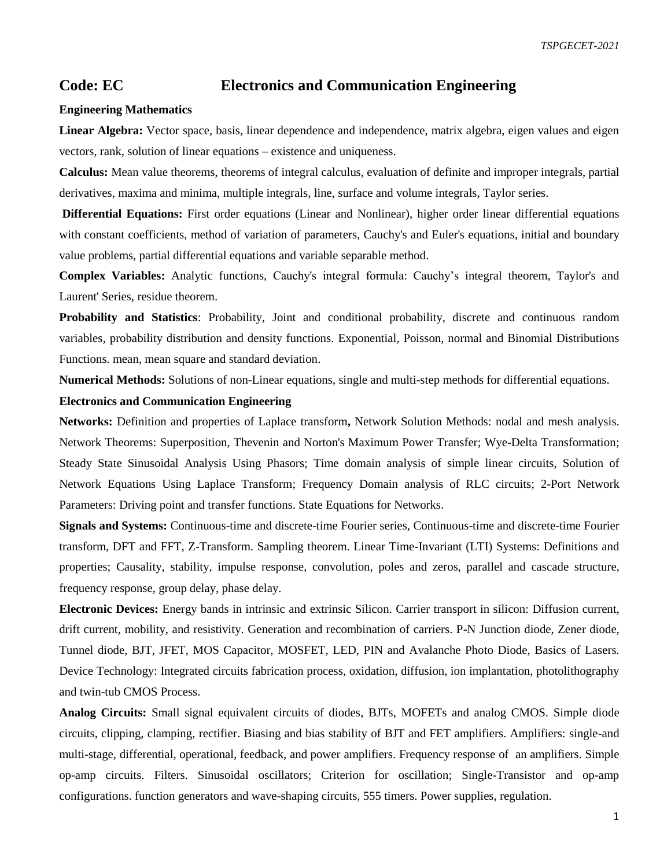## **Code: EC Electronics and Communication Engineering**

## **Engineering Mathematics**

**Linear Algebra:** Vector space, basis, linear dependence and independence, matrix algebra, eigen values and eigen vectors, rank, solution of linear equations – existence and uniqueness.

**Calculus:** Mean value theorems, theorems of integral calculus, evaluation of definite and improper integrals, partial derivatives, maxima and minima, multiple integrals, line, surface and volume integrals, Taylor series.

**Differential Equations:** First order equations (Linear and Nonlinear), higher order linear differential equations with constant coefficients, method of variation of parameters, Cauchy's and Euler's equations, initial and boundary value problems, partial differential equations and variable separable method.

**Complex Variables:** Analytic functions, Cauchy's integral formula: Cauchy's integral theorem, Taylor's and Laurent' Series, residue theorem.

**Probability and Statistics**: Probability, Joint and conditional probability, discrete and continuous random variables, probability distribution and density functions. Exponential, Poisson, normal and Binomial Distributions Functions. mean, mean square and standard deviation.

**Numerical Methods:** Solutions of non-Linear equations, single and multi-step methods for differential equations.

## **Electronics and Communication Engineering**

**Networks:** Definition and properties of Laplace transform**,** Network Solution Methods: nodal and mesh analysis. Network Theorems: Superposition, Thevenin and Norton's Maximum Power Transfer; Wye-Delta Transformation; Steady State Sinusoidal Analysis Using Phasors; Time domain analysis of simple linear circuits, Solution of Network Equations Using Laplace Transform; Frequency Domain analysis of RLC circuits; 2-Port Network Parameters: Driving point and transfer functions. State Equations for Networks.

**Signals and Systems:** Continuous-time and discrete-time Fourier series, Continuous-time and discrete-time Fourier transform, DFT and FFT, Z-Transform. Sampling theorem. Linear Time-Invariant (LTI) Systems: Definitions and properties; Causality, stability, impulse response, convolution, poles and zeros, parallel and cascade structure, frequency response, group delay, phase delay.

**Electronic Devices:** Energy bands in intrinsic and extrinsic Silicon. Carrier transport in silicon: Diffusion current, drift current, mobility, and resistivity. Generation and recombination of carriers. P-N Junction diode, Zener diode, Tunnel diode, BJT, JFET, MOS Capacitor, MOSFET, LED, PIN and Avalanche Photo Diode, Basics of Lasers. Device Technology: Integrated circuits fabrication process, oxidation, diffusion, ion implantation, photolithography and twin-tub CMOS Process.

**Analog Circuits:** Small signal equivalent circuits of diodes, BJTs, MOFETs and analog CMOS. Simple diode circuits, clipping, clamping, rectifier. Biasing and bias stability of BJT and FET amplifiers. Amplifiers: single-and multi-stage, differential, operational, feedback, and power amplifiers. Frequency response of an amplifiers. Simple op-amp circuits. Filters. Sinusoidal oscillators; Criterion for oscillation; Single-Transistor and op-amp configurations. function generators and wave-shaping circuits, 555 timers. Power supplies, regulation.